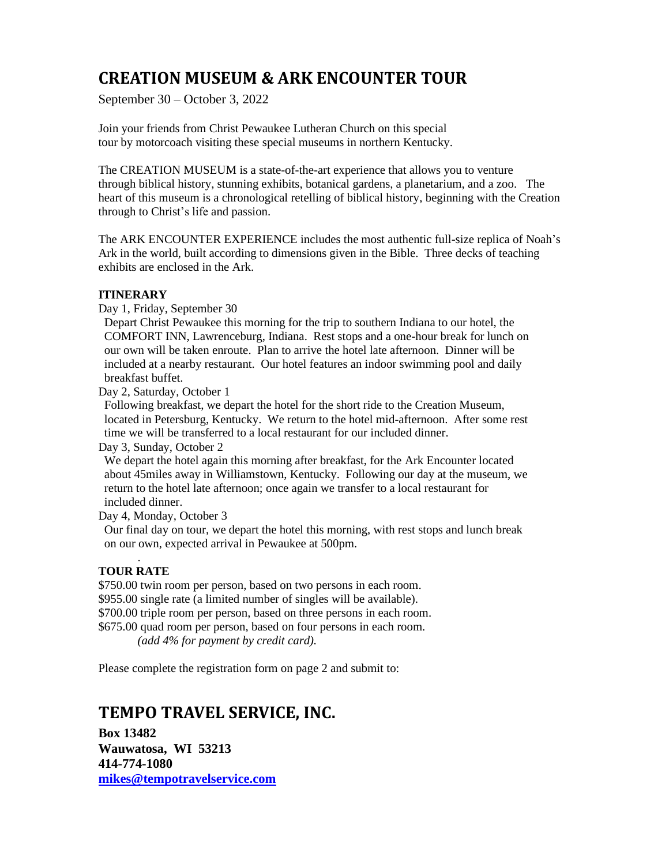# **CREATION MUSEUM & ARK ENCOUNTER TOUR**

September 30 – October 3, 2022

Join your friends from Christ Pewaukee Lutheran Church on this special tour by motorcoach visiting these special museums in northern Kentucky.

The CREATION MUSEUM is a state-of-the-art experience that allows you to venture through biblical history, stunning exhibits, botanical gardens, a planetarium, and a zoo. The heart of this museum is a chronological retelling of biblical history, beginning with the Creation through to Christ's life and passion.

The ARK ENCOUNTER EXPERIENCE includes the most authentic full-size replica of Noah's Ark in the world, built according to dimensions given in the Bible. Three decks of teaching exhibits are enclosed in the Ark.

## **ITINERARY**

Day 1, Friday, September 30

 Depart Christ Pewaukee this morning for the trip to southern Indiana to our hotel, the COMFORT INN, Lawrenceburg, Indiana. Rest stops and a one-hour break for lunch on our own will be taken enroute. Plan to arrive the hotel late afternoon. Dinner will be included at a nearby restaurant. Our hotel features an indoor swimming pool and daily breakfast buffet.

Day 2, Saturday, October 1

 Following breakfast, we depart the hotel for the short ride to the Creation Museum, located in Petersburg, Kentucky. We return to the hotel mid-afternoon. After some rest time we will be transferred to a local restaurant for our included dinner.

Day 3, Sunday, October 2

We depart the hotel again this morning after breakfast, for the Ark Encounter located about 45miles away in Williamstown, Kentucky. Following our day at the museum, we return to the hotel late afternoon; once again we transfer to a local restaurant for included dinner.

Day 4, Monday, October 3

 Our final day on tour, we depart the hotel this morning, with rest stops and lunch break on our own, expected arrival in Pewaukee at 500pm.

## . **TOUR RATE**

\$750.00 twin room per person, based on two persons in each room. \$955.00 single rate (a limited number of singles will be available). \$700.00 triple room per person, based on three persons in each room. \$675.00 quad room per person, based on four persons in each room. *(add 4% for payment by credit card).*

Please complete the registration form on page 2 and submit to:

## **TEMPO TRAVEL SERVICE, INC.**

**Box 13482 Wauwatosa, WI 53213 414-774-1080 [mikes@tempotravelservice.com](mailto:mikes@tempotravelservice.com)**